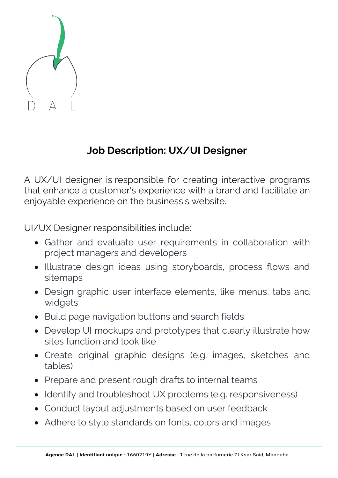

## **Job Description: UX/UI Designer**

A UX/UI designer is responsible for creating interactive programs that enhance a customer's experience with a brand and facilitate an enjoyable experience on the business's website.

UI/UX Designer responsibilities include:

- Gather and evaluate user requirements in collaboration with project managers and developers
- Illustrate design ideas using storyboards, process flows and sitemaps
- Design graphic user interface elements, like menus, tabs and widgets
- Build page navigation buttons and search fields
- Develop UI mockups and prototypes that clearly illustrate how sites function and look like
- Create original graphic designs (e.g. images, sketches and tables)
- Prepare and present rough drafts to internal teams
- Identify and troubleshoot UX problems (e.g. responsiveness)
- Conduct layout adjustments based on user feedback
- Adhere to style standards on fonts, colors and images